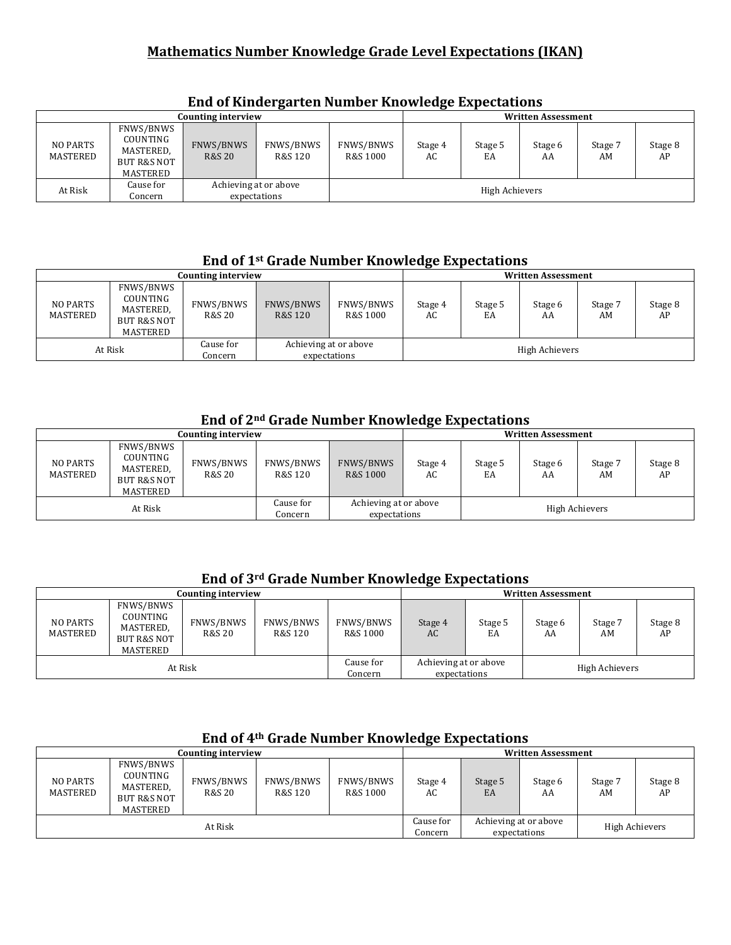#### **Mathematics Number Knowledge Grade Level Expectations (IKAN)**

|                      |                                                                          | Counting interview             |                                       |                       | <b>Written Assessment</b> |               |               |               |               |  |
|----------------------|--------------------------------------------------------------------------|--------------------------------|---------------------------------------|-----------------------|---------------------------|---------------|---------------|---------------|---------------|--|
| NO PARTS<br>MASTERED | FNWS/BNWS<br>COUNTING<br>MASTERED,<br><b>BUT R&amp;S NOT</b><br>MASTERED | FNWS/BNWS<br><b>R&amp;S 20</b> | FNWS/BNWS<br>R&S 120                  | FNWS/BNWS<br>R&S 1000 | Stage 4<br>AC             | Stage 5<br>EA | Stage 6<br>AA | Stage 7<br>AM | Stage 8<br>AP |  |
| At Risk              | Cause for<br>Concern                                                     |                                | Achieving at or above<br>expectations |                       | High Achievers            |               |               |               |               |  |

#### **End of Kindergarten Number Knowledge Expectations**

#### **End of 1st Grade Number Knowledge Expectations**

|                      |                                                                          | Counting interview             |                      |                                       |               |                | <b>Written Assessment</b> |               |               |
|----------------------|--------------------------------------------------------------------------|--------------------------------|----------------------|---------------------------------------|---------------|----------------|---------------------------|---------------|---------------|
| NO PARTS<br>MASTERED | FNWS/BNWS<br>COUNTING<br>MASTERED,<br><b>BUT R&amp;S NOT</b><br>MASTERED | FNWS/BNWS<br><b>R&amp;S 20</b> | FNWS/BNWS<br>R&S 120 | FNWS/BNWS<br>R&S 1000                 | Stage 4<br>AC | Stage 5<br>EA  | Stage 6<br>AA             | Stage 7<br>AM | Stage 8<br>AP |
|                      | At Risk                                                                  | Cause for<br>Concern           |                      | Achieving at or above<br>expectations |               | High Achievers |                           |               |               |

### End of 2<sup>nd</sup> Grade Number Knowledge Expectations

|                      |                                                                          | Counting interview  |                      |                                       | <b>Written Assessment</b> |               |               |                |               |
|----------------------|--------------------------------------------------------------------------|---------------------|----------------------|---------------------------------------|---------------------------|---------------|---------------|----------------|---------------|
| NO PARTS<br>MASTERED | FNWS/BNWS<br>COUNTING<br>MASTERED,<br><b>BUT R&amp;S NOT</b><br>MASTERED | FNWS/BNWS<br>R&S 20 | FNWS/BNWS<br>R&S 120 | FNWS/BNWS<br>R&S 1000                 | Stage 4<br>AC             | Stage 5<br>EA | Stage 6<br>AA | Stage 7<br>AM  | Stage 8<br>AP |
| At Risk              |                                                                          |                     | Cause for<br>Concern | Achieving at or above<br>expectations |                           |               |               | High Achievers |               |

#### **End of 3rd Grade Number Knowledge Expectations**

|                             |                                                               | Counting interview  |                      |                       | <b>Written Assessment</b>             |               |               |                |               |
|-----------------------------|---------------------------------------------------------------|---------------------|----------------------|-----------------------|---------------------------------------|---------------|---------------|----------------|---------------|
| <b>NO PARTS</b><br>MASTERED | FNWS/BNWS<br>COUNTING<br>MASTERED,<br>BUT R&S NOT<br>MASTERED | FNWS/BNWS<br>R&S 20 | FNWS/BNWS<br>R&S 120 | FNWS/BNWS<br>R&S 1000 | Stage 4<br>AC                         | Stage 5<br>EA | Stage 6<br>AA | Stage 7<br>AM  | Stage 8<br>AP |
| At Risk                     |                                                               |                     |                      | Cause for<br>Concern  | Achieving at or above<br>expectations |               |               | High Achievers |               |

# **End of 4th Grade Number Knowledge Expectations**

|                             | Counting interview<br>FNWS/BNWS<br>COUNTING<br>FNWS/BNWS<br>FNWS/BNWS |         |         |                       | <b>Written Assessment</b> |               |                                       |               |                |  |
|-----------------------------|-----------------------------------------------------------------------|---------|---------|-----------------------|---------------------------|---------------|---------------------------------------|---------------|----------------|--|
| <b>NO PARTS</b><br>MASTERED | MASTERED,<br><b>BUT R&amp;S NOT</b><br>MASTERED                       | R&S 20  | R&S 120 | FNWS/BNWS<br>R&S 1000 | Stage 4<br>AC             | Stage 5<br>EA | Stage 6<br>AA                         | Stage 7<br>AM | Stage 8<br>AP  |  |
|                             |                                                                       | At Risk |         |                       | Cause for<br>Concern      |               | Achieving at or above<br>expectations |               | High Achievers |  |